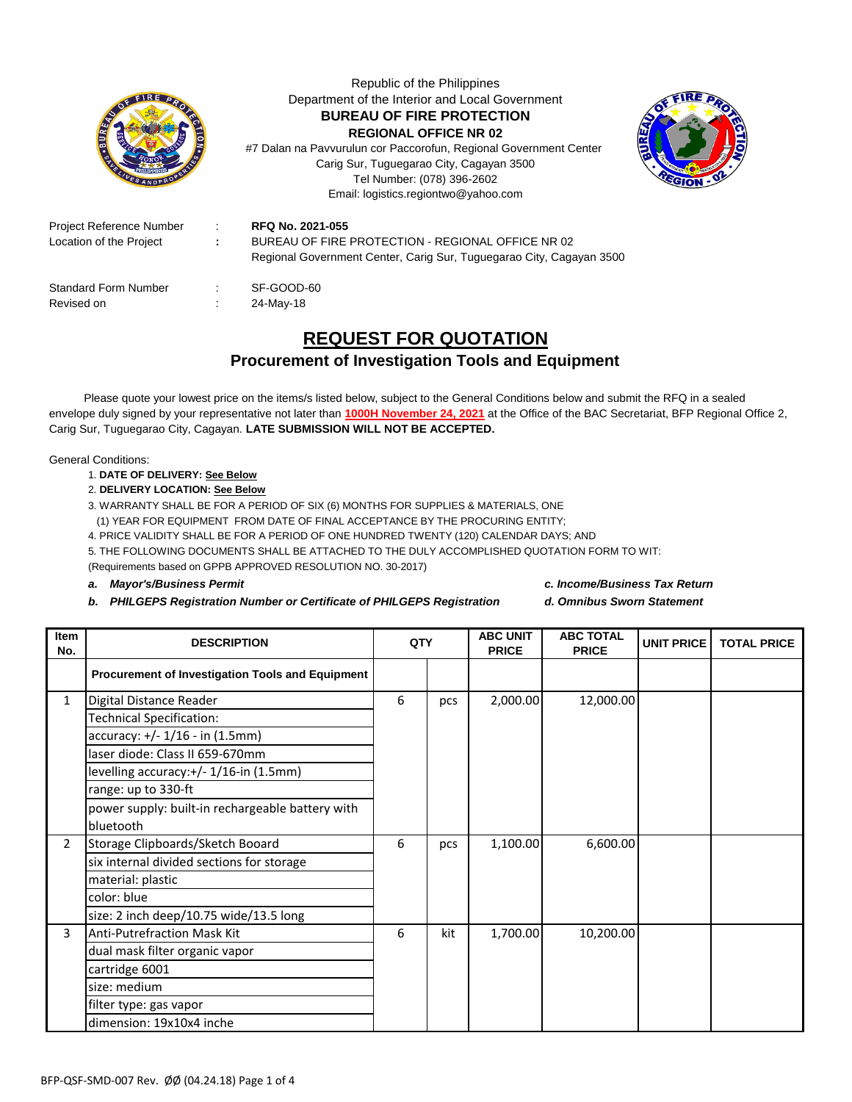|                                                     |            | Republic of the Philippines<br>Department of the Interior and Local Government<br><b>BUREAU OF FIRE PROTECTION</b><br><b>REGIONAL OFFICE NR 02</b><br>#7 Dalan na Pavvurulun cor Paccorofun, Regional Government Center<br>Carig Sur, Tuguegarao City, Cagayan 3500<br>Tel Number: (078) 396-2602<br>Email: logistics.regiontwo@yahoo.com |  |  |  |  |  |  |
|-----------------------------------------------------|------------|-------------------------------------------------------------------------------------------------------------------------------------------------------------------------------------------------------------------------------------------------------------------------------------------------------------------------------------------|--|--|--|--|--|--|
| Project Reference Number<br>Location of the Project | $\sim 100$ | RFQ No. 2021-055<br>BUREAU OF FIRE PROTECTION - REGIONAL OFFICE NR 02<br>Regional Government Center, Carig Sur, Tuguegarao City, Cagayan 3500                                                                                                                                                                                             |  |  |  |  |  |  |
| Standard Form Number<br>Revised on                  |            | SF-GOOD-60<br>24-May-18                                                                                                                                                                                                                                                                                                                   |  |  |  |  |  |  |

## **REQUEST FOR QUOTATION**

## **Procurement of Investigation Tools and Equipment**

 Please quote your lowest price on the items/s listed below, subject to the General Conditions below and submit the RFQ in a sealed envelope duly signed by your representative not later than **1000H November 24, 2021** at the Office of the BAC Secretariat, BFP Regional Office 2, Carig Sur, Tuguegarao City, Cagayan. **LATE SUBMISSION WILL NOT BE ACCEPTED.**

General Conditions:

## 1. **DATE OF DELIVERY: See Below**

2. **DELIVERY LOCATION: See Below**

3. WARRANTY SHALL BE FOR A PERIOD OF SIX (6) MONTHS FOR SUPPLIES & MATERIALS, ONE

(1) YEAR FOR EQUIPMENT FROM DATE OF FINAL ACCEPTANCE BY THE PROCURING ENTITY;

4. PRICE VALIDITY SHALL BE FOR A PERIOD OF ONE HUNDRED TWENTY (120) CALENDAR DAYS; AND

5. THE FOLLOWING DOCUMENTS SHALL BE ATTACHED TO THE DULY ACCOMPLISHED QUOTATION FORM TO WIT: (Requirements based on GPPB APPROVED RESOLUTION NO. 30-2017)

- *b. PHILGEPS Registration Number or Certificate of PHILGEPS Registration d. Omnibus Sworn Statement*
- *a. Mayor's/Business Permit c. Income/Business Tax Return*
	-

| <b>Item</b><br>No. | <b>DESCRIPTION</b>                               | QTY |     | <b>ABC UNIT</b><br><b>PRICE</b> | <b>ABC TOTAL</b><br><b>PRICE</b> | <b>UNIT PRICE</b> | <b>TOTAL PRICE</b> |
|--------------------|--------------------------------------------------|-----|-----|---------------------------------|----------------------------------|-------------------|--------------------|
|                    | Procurement of Investigation Tools and Equipment |     |     |                                 |                                  |                   |                    |
| 1                  | Digital Distance Reader                          | 6   | pcs | 2,000.00                        | 12,000.00                        |                   |                    |
|                    | Technical Specification:                         |     |     |                                 |                                  |                   |                    |
|                    | accuracy: +/- 1/16 - in (1.5mm)                  |     |     |                                 |                                  |                   |                    |
|                    | laser diode: Class II 659-670mm                  |     |     |                                 |                                  |                   |                    |
|                    | levelling accuracy:+/- 1/16-in (1.5mm)           |     |     |                                 |                                  |                   |                    |
|                    | range: up to 330-ft                              |     |     |                                 |                                  |                   |                    |
|                    | power supply: built-in rechargeable battery with |     |     |                                 |                                  |                   |                    |
|                    | bluetooth                                        |     |     |                                 |                                  |                   |                    |
| 2                  | Storage Clipboards/Sketch Booard                 | 6   | pcs | 1,100.00                        | 6,600.00                         |                   |                    |
|                    | six internal divided sections for storage        |     |     |                                 |                                  |                   |                    |
|                    | material: plastic                                |     |     |                                 |                                  |                   |                    |
|                    | color: blue                                      |     |     |                                 |                                  |                   |                    |
|                    | size: 2 inch deep/10.75 wide/13.5 long           |     |     |                                 |                                  |                   |                    |
| 3                  | <b>Anti-Putrefraction Mask Kit</b>               | 6   | kit | 1,700.00                        | 10,200.00                        |                   |                    |
|                    | dual mask filter organic vapor                   |     |     |                                 |                                  |                   |                    |
|                    | cartridge 6001                                   |     |     |                                 |                                  |                   |                    |
|                    | size: medium                                     |     |     |                                 |                                  |                   |                    |
|                    | filter type: gas vapor                           |     |     |                                 |                                  |                   |                    |
|                    | dimension: 19x10x4 inche                         |     |     |                                 |                                  |                   |                    |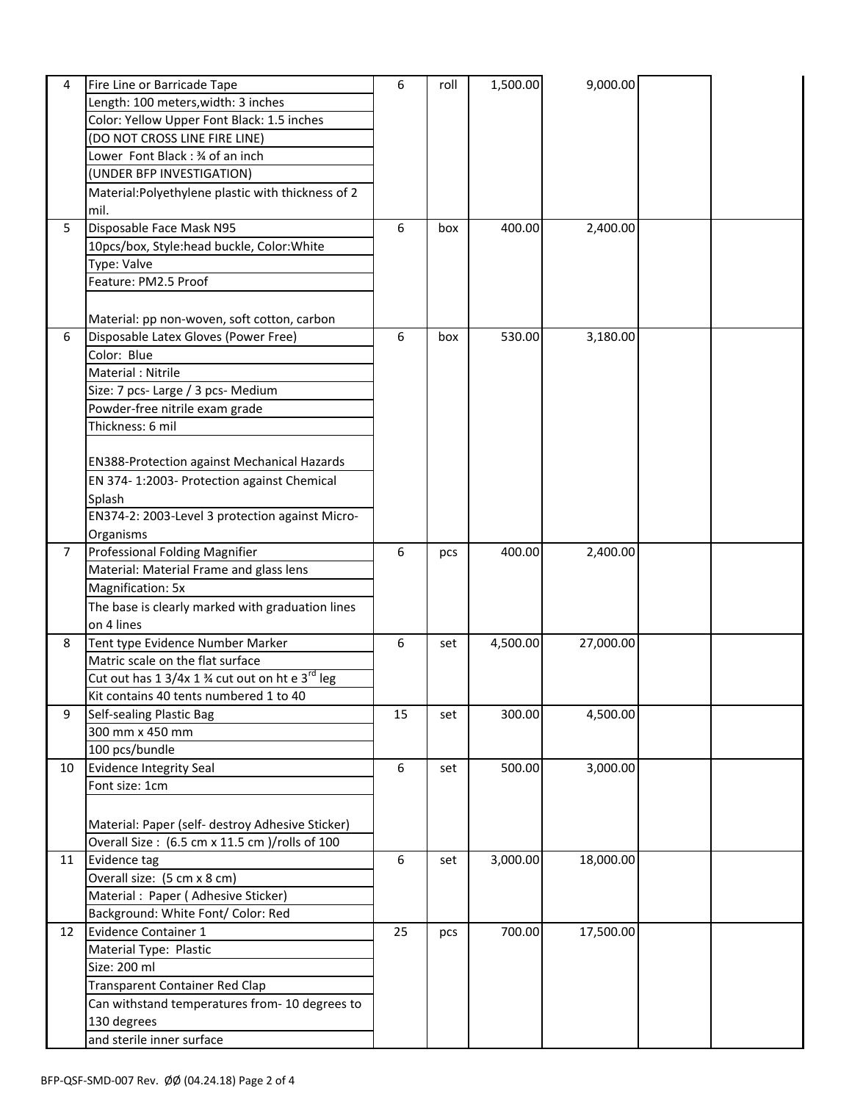| 4              | Fire Line or Barricade Tape                                            | 6  | roll | 1,500.00 | 9,000.00  |  |
|----------------|------------------------------------------------------------------------|----|------|----------|-----------|--|
|                | Length: 100 meters, width: 3 inches                                    |    |      |          |           |  |
|                | Color: Yellow Upper Font Black: 1.5 inches                             |    |      |          |           |  |
|                | (DO NOT CROSS LINE FIRE LINE)                                          |    |      |          |           |  |
|                | Lower Font Black : 34 of an inch                                       |    |      |          |           |  |
|                | (UNDER BFP INVESTIGATION)                                              |    |      |          |           |  |
|                | Material: Polyethylene plastic with thickness of 2                     |    |      |          |           |  |
|                | mil.                                                                   |    |      |          |           |  |
| 5              | Disposable Face Mask N95                                               | 6  | box  | 400.00   | 2,400.00  |  |
|                | 10pcs/box, Style:head buckle, Color: White                             |    |      |          |           |  |
|                | Type: Valve                                                            |    |      |          |           |  |
|                | Feature: PM2.5 Proof                                                   |    |      |          |           |  |
|                |                                                                        |    |      |          |           |  |
|                | Material: pp non-woven, soft cotton, carbon                            |    |      |          |           |  |
| 6              | Disposable Latex Gloves (Power Free)                                   | 6  | box  | 530.00   | 3,180.00  |  |
|                | Color: Blue                                                            |    |      |          |           |  |
|                | Material: Nitrile                                                      |    |      |          |           |  |
|                | Size: 7 pcs- Large / 3 pcs- Medium                                     |    |      |          |           |  |
|                | Powder-free nitrile exam grade                                         |    |      |          |           |  |
|                | Thickness: 6 mil                                                       |    |      |          |           |  |
|                |                                                                        |    |      |          |           |  |
|                | <b>EN388-Protection against Mechanical Hazards</b>                     |    |      |          |           |  |
|                | EN 374-1:2003- Protection against Chemical                             |    |      |          |           |  |
|                | Splash                                                                 |    |      |          |           |  |
|                | EN374-2: 2003-Level 3 protection against Micro-                        |    |      |          |           |  |
|                | Organisms                                                              |    |      |          |           |  |
| $\overline{7}$ | Professional Folding Magnifier                                         | 6  | pcs  | 400.00   | 2,400.00  |  |
|                | Material: Material Frame and glass lens                                |    |      |          |           |  |
|                | Magnification: 5x                                                      |    |      |          |           |  |
|                |                                                                        |    |      |          |           |  |
|                | The base is clearly marked with graduation lines                       |    |      |          |           |  |
|                | on 4 lines                                                             |    |      |          |           |  |
| 8              | Tent type Evidence Number Marker                                       | 6  | set  | 4,500.00 | 27,000.00 |  |
|                | Matric scale on the flat surface                                       |    |      |          |           |  |
|                | Cut out has 1 3/4x 1 $\frac{3}{4}$ cut out on ht e 3 <sup>rd</sup> leg |    |      |          |           |  |
|                | Kit contains 40 tents numbered 1 to 40                                 |    |      |          |           |  |
| 9              | Self-sealing Plastic Bag                                               | 15 | set  | 300.00   | 4,500.00  |  |
|                | 300 mm x 450 mm                                                        |    |      |          |           |  |
|                | 100 pcs/bundle                                                         |    |      |          |           |  |
| 10             | Evidence Integrity Seal                                                | 6  | set  | 500.00   | 3,000.00  |  |
|                | Font size: 1cm                                                         |    |      |          |           |  |
|                |                                                                        |    |      |          |           |  |
|                | Material: Paper (self- destroy Adhesive Sticker)                       |    |      |          |           |  |
|                | Overall Size: (6.5 cm x 11.5 cm )/rolls of 100                         |    |      |          |           |  |
| 11             | Evidence tag                                                           | 6  | set  | 3,000.00 | 18,000.00 |  |
|                | Overall size: (5 cm x 8 cm)                                            |    |      |          |           |  |
|                | Material: Paper (Adhesive Sticker)                                     |    |      |          |           |  |
|                | Background: White Font/ Color: Red                                     |    |      |          |           |  |
| 12             | Evidence Container 1                                                   | 25 | pcs  | 700.00   | 17,500.00 |  |
|                | Material Type: Plastic                                                 |    |      |          |           |  |
|                | Size: 200 ml                                                           |    |      |          |           |  |
|                | Transparent Container Red Clap                                         |    |      |          |           |  |
|                | Can withstand temperatures from- 10 degrees to                         |    |      |          |           |  |
|                | 130 degrees                                                            |    |      |          |           |  |
|                | and sterile inner surface                                              |    |      |          |           |  |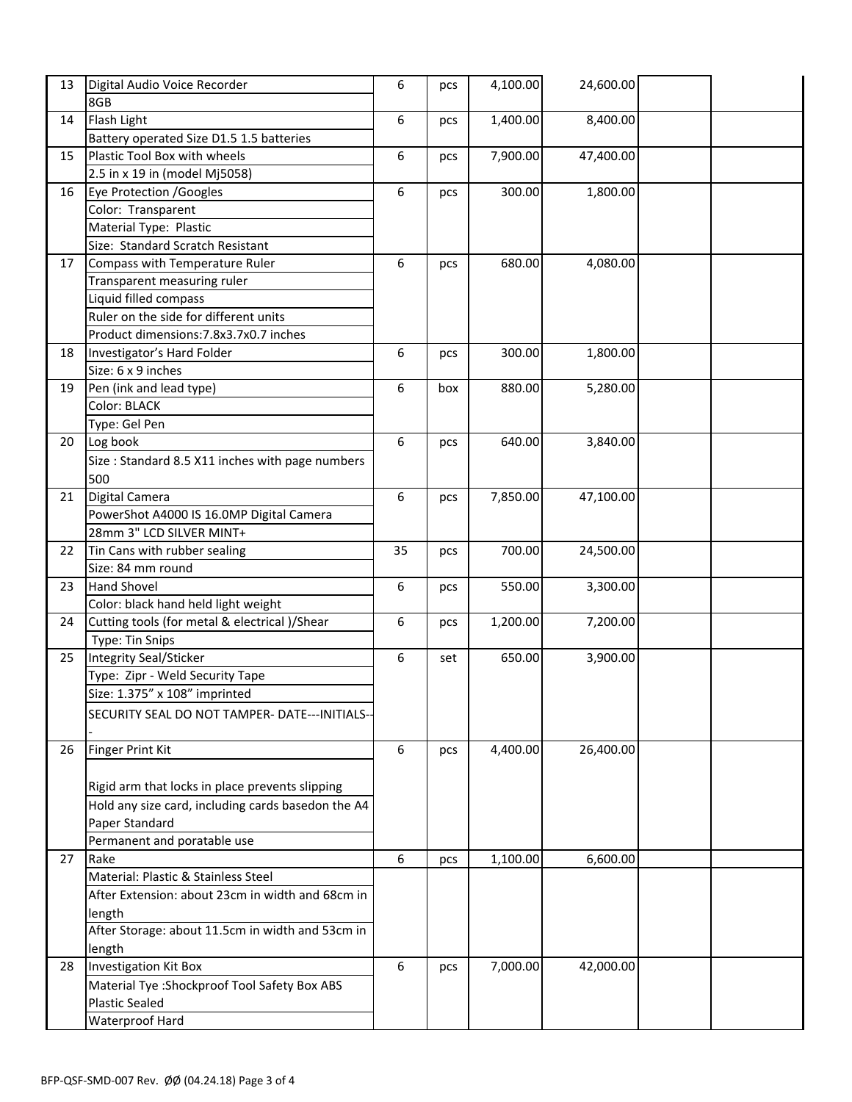| 13 | Digital Audio Voice Recorder                       | 6  | pcs | 4,100.00 | 24,600.00 |  |
|----|----------------------------------------------------|----|-----|----------|-----------|--|
|    | 8GB                                                |    |     |          |           |  |
| 14 | Flash Light                                        | 6  | pcs | 1,400.00 | 8,400.00  |  |
|    | Battery operated Size D1.5 1.5 batteries           |    |     |          |           |  |
| 15 | Plastic Tool Box with wheels                       | 6  | pcs | 7,900.00 | 47,400.00 |  |
|    | 2.5 in x 19 in (model Mj5058)                      |    |     |          |           |  |
| 16 | Eye Protection /Googles                            | 6  | pcs | 300.00   | 1,800.00  |  |
|    | Color: Transparent                                 |    |     |          |           |  |
|    | Material Type: Plastic                             |    |     |          |           |  |
|    | Size: Standard Scratch Resistant                   |    |     |          |           |  |
| 17 | Compass with Temperature Ruler                     | 6  | pcs | 680.00   | 4,080.00  |  |
|    | Transparent measuring ruler                        |    |     |          |           |  |
|    | Liquid filled compass                              |    |     |          |           |  |
|    | Ruler on the side for different units              |    |     |          |           |  |
|    | Product dimensions: 7.8x3.7x0.7 inches             |    |     |          |           |  |
| 18 | Investigator's Hard Folder                         | 6  | pcs | 300.00   | 1,800.00  |  |
|    | Size: 6 x 9 inches                                 |    |     |          |           |  |
| 19 | Pen (ink and lead type)                            | 6  | box | 880.00   | 5,280.00  |  |
|    | Color: BLACK                                       |    |     |          |           |  |
|    | Type: Gel Pen                                      |    |     |          |           |  |
| 20 | Log book                                           | 6  | pcs | 640.00   | 3,840.00  |  |
|    | Size: Standard 8.5 X11 inches with page numbers    |    |     |          |           |  |
|    | 500                                                |    |     |          |           |  |
| 21 | Digital Camera                                     | 6  | pcs | 7,850.00 | 47,100.00 |  |
|    | PowerShot A4000 IS 16.0MP Digital Camera           |    |     |          |           |  |
|    | 28mm 3" LCD SILVER MINT+                           |    |     |          |           |  |
| 22 | Tin Cans with rubber sealing                       | 35 | pcs | 700.00   | 24,500.00 |  |
|    | Size: 84 mm round                                  |    |     |          |           |  |
| 23 | <b>Hand Shovel</b>                                 | 6  | pcs | 550.00   | 3,300.00  |  |
|    | Color: black hand held light weight                |    |     |          |           |  |
| 24 | Cutting tools (for metal & electrical )/Shear      | 6  | pcs | 1,200.00 | 7,200.00  |  |
|    | Type: Tin Snips                                    |    |     |          |           |  |
| 25 | Integrity Seal/Sticker                             | 6  | set | 650.00   | 3,900.00  |  |
|    | Type: Zipr - Weld Security Tape                    |    |     |          |           |  |
|    | Size: 1.375" x 108" imprinted                      |    |     |          |           |  |
|    | SECURITY SEAL DO NOT TAMPER- DATE---INITIALS--     |    |     |          |           |  |
|    |                                                    |    |     |          |           |  |
| 26 | <b>Finger Print Kit</b>                            | 6  | pcs | 4,400.00 | 26,400.00 |  |
|    |                                                    |    |     |          |           |  |
|    | Rigid arm that locks in place prevents slipping    |    |     |          |           |  |
|    | Hold any size card, including cards basedon the A4 |    |     |          |           |  |
|    | Paper Standard                                     |    |     |          |           |  |
|    | Permanent and poratable use                        |    |     |          |           |  |
| 27 | Rake                                               | 6  | pcs | 1,100.00 | 6,600.00  |  |
|    | Material: Plastic & Stainless Steel                |    |     |          |           |  |
|    | After Extension: about 23cm in width and 68cm in   |    |     |          |           |  |
|    | length                                             |    |     |          |           |  |
|    | After Storage: about 11.5cm in width and 53cm in   |    |     |          |           |  |
|    | length                                             |    |     |          |           |  |
| 28 | <b>Investigation Kit Box</b>                       | 6  | pcs | 7,000.00 | 42,000.00 |  |
|    | Material Tye : Shockproof Tool Safety Box ABS      |    |     |          |           |  |
|    | <b>Plastic Sealed</b>                              |    |     |          |           |  |
|    | Waterproof Hard                                    |    |     |          |           |  |